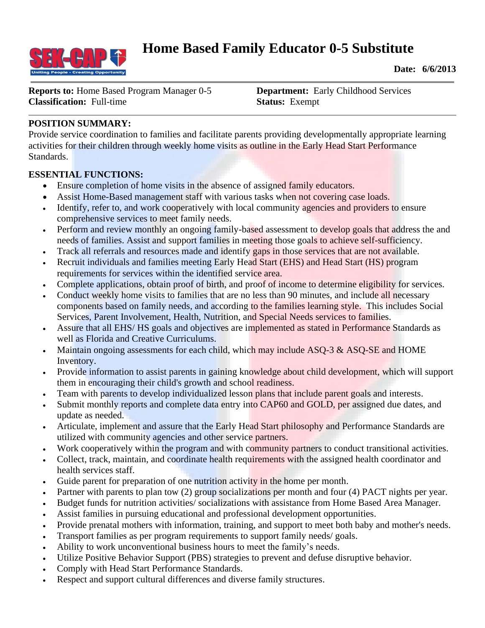

**Date: 6/6/2013**

**Reports to:** Home Based Program Manager 0-5 **Department:** Early Childhood Services **Classification:** Full-time **Status:** Exempt

## **POSITION SUMMARY:**

Provide service coordination to families and facilitate parents providing developmentally appropriate learning activities for their children through weekly home visits as outline in the Early Head Start Performance Standards.

### **ESSENTIAL FUNCTIONS:**

- Ensure completion of home visits in the absence of assigned family educators.
- Assist Home-Based management staff with various tasks when not covering case loads.
- Identify, refer to, and work cooperatively with local community agencies and providers to ensure comprehensive services to meet family needs.
- Perform and review monthly an ongoing family-based assessment to develop goals that address the and needs of families. Assist and support families in meeting those goals to achieve self-sufficiency.
- Track all referrals and resources made and identify gaps in those services that are not available.
- Recruit individuals and families meeting Early Head Start (EHS) and Head Start (HS) program requirements for services within the identified service area.
- Complete applications, obtain proof of birth, and proof of income to determine eligibility for services.
- Conduct weekly home visits to families that are no less than 90 minutes, and include all necessary components based on family needs, and according to the families learning style. This includes Social Services, Parent Involvement, Health, Nutrition, and Special Needs services to families.
- Assure that all EHS/ HS goals and objectives are implemented as stated in Performance Standards as well as Florida and Creative Curriculums.
- Maintain ongoing assessments for each child, which may include ASQ-3  $\&$  ASQ-SE and HOME Inventory.
- Provide information to assist parents in gaining knowledge about child development, which will support them in encouraging their child's growth and school readiness.
- Team with parents to develop individualized lesson plans that include parent goals and interests.
- Submit monthly reports and complete data entry into CAP60 and GOLD, per assigned due dates, and update as needed.
- Articulate, implement and assure that the Early Head Start philosophy and Performance Standards are utilized with community agencies and other service partners.
- Work cooperatively within the program and with community partners to conduct transitional activities.
- Collect, track, maintain, and coordinate health requirements with the assigned health coordinator and health services staff.
- Guide parent for preparation of one nutrition activity in the home per month.
- Partner with parents to plan tow (2) group socializations per month and four (4) PACT nights per year.
- Budget funds for nutrition activities/ socializations with assistance from Home Based Area Manager.
- Assist families in pursuing educational and professional development opportunities.
- Provide prenatal mothers with information, training, and support to meet both baby and mother's needs.
- Transport families as per program requirements to support family needs/ goals.
- Ability to work unconventional business hours to meet the family's needs.
- Utilize Positive Behavior Support (PBS) strategies to prevent and defuse disruptive behavior.
- Comply with Head Start Performance Standards.
- Respect and support cultural differences and diverse family structures.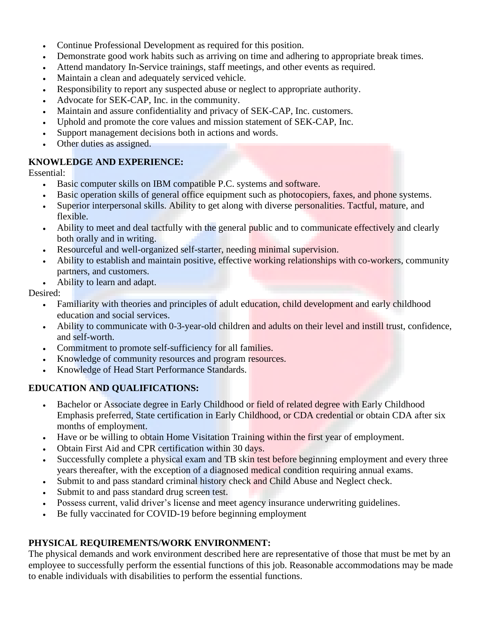- Continue Professional Development as required for this position.
- Demonstrate good work habits such as arriving on time and adhering to appropriate break times.
- Attend mandatory In-Service trainings, staff meetings, and other events as required.
- Maintain a clean and adequately serviced vehicle.
- Responsibility to report any suspected abuse or neglect to appropriate authority.
- Advocate for SEK-CAP, Inc. in the community.
- Maintain and assure confidentiality and privacy of SEK-CAP, Inc. customers.
- Uphold and promote the core values and mission statement of SEK-CAP, Inc.
- Support management decisions both in actions and words.
- Other duties as assigned.

### **KNOWLEDGE AND EXPERIENCE:**

Essential:

- Basic computer skills on IBM compatible P.C. systems and software.
- Basic operation skills of general office equipment such as photocopiers, faxes, and phone systems.
- Superior interpersonal skills. Ability to get along with diverse personalities. Tactful, mature, and flexible.
- Ability to meet and deal tactfully with the general public and to communicate effectively and clearly both orally and in writing.
- Resourceful and well-organized self-starter, needing minimal supervision.
- Ability to establish and maintain positive, effective working relationships with co-workers, community partners, and customers.
- Ability to learn and adapt.

#### Desired:

- Familiarity with theories and principles of adult education, child development and early childhood education and social services.
- Ability to communicate with 0-3-year-old children and adults on their level and instill trust, confidence, and self-worth.
- Commitment to promote self-sufficiency for all families.
- Knowledge of community resources and program resources.
- Knowledge of Head Start Performance Standards.

# **EDUCATION AND QUALIFICATIONS:**

- Bachelor or Associate degree in Early Childhood or field of related degree with Early Childhood Emphasis preferred, State certification in Early Childhood, or CDA credential or obtain CDA after six months of employment.
- Have or be willing to obtain Home Visitation Training within the first year of employment.
- Obtain First Aid and CPR certification within 30 days.
- Successfully complete a physical exam and TB skin test before beginning employment and every three years thereafter, with the exception of a diagnosed medical condition requiring annual exams.
- Submit to and pass standard criminal history check and Child Abuse and Neglect check.
- Submit to and pass standard drug screen test.
- Possess current, valid driver's license and meet agency insurance underwriting guidelines.
- Be fully vaccinated for COVID-19 before beginning employment

# **PHYSICAL REQUIREMENTS/WORK ENVIRONMENT:**

The physical demands and work environment described here are representative of those that must be met by an employee to successfully perform the essential functions of this job. Reasonable accommodations may be made to enable individuals with disabilities to perform the essential functions.